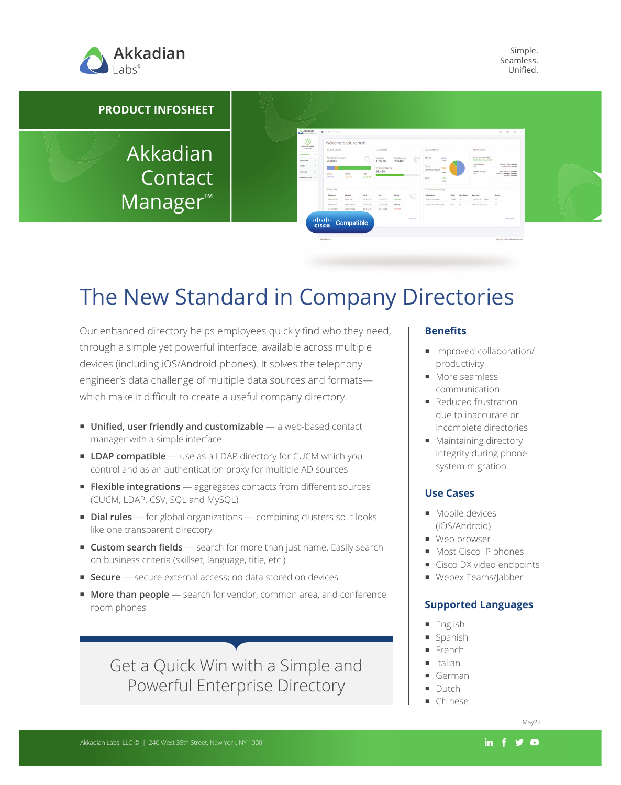

Simple. Seamless. Unified.

## **PRODUCT INFOSHEET**

Akkadian Contact Manager™

| Akkadian                        |          | ٠<br>Search directors             |                      |               |                        |                          |                           |                               |      |                   |                                                                                   | ◎                 | 0 0 0                                                     |
|---------------------------------|----------|-----------------------------------|----------------------|---------------|------------------------|--------------------------|---------------------------|-------------------------------|------|-------------------|-----------------------------------------------------------------------------------|-------------------|-----------------------------------------------------------|
|                                 |          |                                   | Welcome back, Admin! |               |                        |                          |                           |                               |      |                   |                                                                                   |                   |                                                           |
| <b>DEFAULT ADMIN</b><br>downer- |          | Search Count                      |                      |               | Call Activity          |                          |                           | Daice Activity                |      |                   | Your System                                                                       |                   |                                                           |
| DASHBOARD                       | $\Delta$ |                                   |                      |               |                        |                          |                           |                               |      |                   |                                                                                   |                   |                                                           |
| DIRECTORY                       | ٠        | Total searches by users<br>298405 |                      |               | Total Calls<br>189210  | Total Searches<br>298405 | $\mathcal{C}^{\vartheta}$ | 7955G<br>46%<br>Guge          |      |                   | Current Version: 4.2.2<br>Application is up to date                               |                   |                                                           |
| <b>SYSTEM</b>                   | ×        |                                   |                      |               | Total Calls / Searches |                          |                           | Cisco<br>35%                  |      |                   | License Details<br>Allowed County 108.808<br>Current County 22,541<br><b>View</b> |                   |                                                           |
| <b>COVER ME</b>                 | <b>k</b> | <b>Jabber</b><br>50045            | Phone<br>26004       | web<br>222356 | 63.41%                 |                          |                           | Communicator<br><b>Uneger</b> |      |                   | General Settings<br>Veir                                                          |                   | Web Directory: Enabled<br><b>Orectory: Bridge Company</b> |
| WEB DERCTORY 0                  |          |                                   |                      |               |                        |                          |                           | 8845<br>9%<br><b>Clage</b>    |      |                   |                                                                                   | Cover the Enabled |                                                           |
|                                 |          | Cover Me                          |                      |               |                        |                          |                           | Data Sources Activity         |      |                   |                                                                                   |                   |                                                           |
|                                 |          | Requester                         | <b>Contact</b>       | Stert         | <b>End</b>             | Stetun                   | $(2 - 1)$                 | <b>Oda Source</b>             | Type | <b>Sync Count</b> | <b>Last Sync</b>                                                                  | Status            |                                                           |
|                                 |          | Evan Namko                        | Peter Mak            | 2019-12-10    | 2010-12-17             | Approved                 | S                         | SP/ran Global HD              | LDAP | $\infty$          | 10-23-2019 11:48 am                                                               | $\circ$           |                                                           |
|                                 |          | john Brown                        | Kevin Yebbah         | 2019-12-06    | 2019-12-06             | Pending                  |                           | vendors and Contractors       | CSV. | 45                | 06-07-2018 5:11 pm                                                                | $\alpha$          |                                                           |
|                                 |          | jack johnson                      | Satchel Paige        | 2019-12-05    | 2019-12-05             | Conceited                |                           |                               |      |                   |                                                                                   |                   |                                                           |
|                                 |          |                                   |                      |               |                        |                          | View more                 |                               |      |                   |                                                                                   |                   | View more                                                 |
|                                 |          | alialia<br>Icisco                 | Compatible           |               |                        |                          |                           |                               |      |                   |                                                                                   |                   |                                                           |

# The New Standard in Company Directories

Our enhanced directory helps employees quickly find who they need, through a simple yet powerful interface, available across multiple devices (including iOS/Android phones). It solves the telephony engineer's data challenge of multiple data sources and formats which make it difficult to create a useful company directory.

- **Unified, user friendly and customizable** a web-based contact manager with a simple interface
- **LDAP compatible** use as a LDAP directory for CUCM which you control and as an authentication proxy for multiple AD sources
- **Flexible integrations** aggregates contacts from different sources (CUCM, LDAP, CSV, SQL and MySQL)
- **Dial rules** for global organizations combining clusters so it looks like one transparent directory
- **Custom search fields** search for more than just name. Easily search on business criteria (skillset, language, title, etc.)
- **Secure** secure external access; no data stored on devices
- **More than people** search for vendor, common area, and conference room phones

Get a Quick Win with a Simple and Powerful Enterprise Directory

#### **Benefits**

- Improved collaboration/ productivity
- **More seamless** communication
- Reduced frustration due to inaccurate or incomplete directories
- **Maintaining directory** integrity during phone system migration

### **Use Cases**

- **Mobile devices** (iOS/Android)
- **Web** browser
- **Most Cisco IP phones**
- Cisco DX video endpoints
- Webex Teams/Jabber

### **Supported Languages**

- **English**
- **Spanish**
- French
- **I**talian
- German
- **Dutch**
- **Chinese**